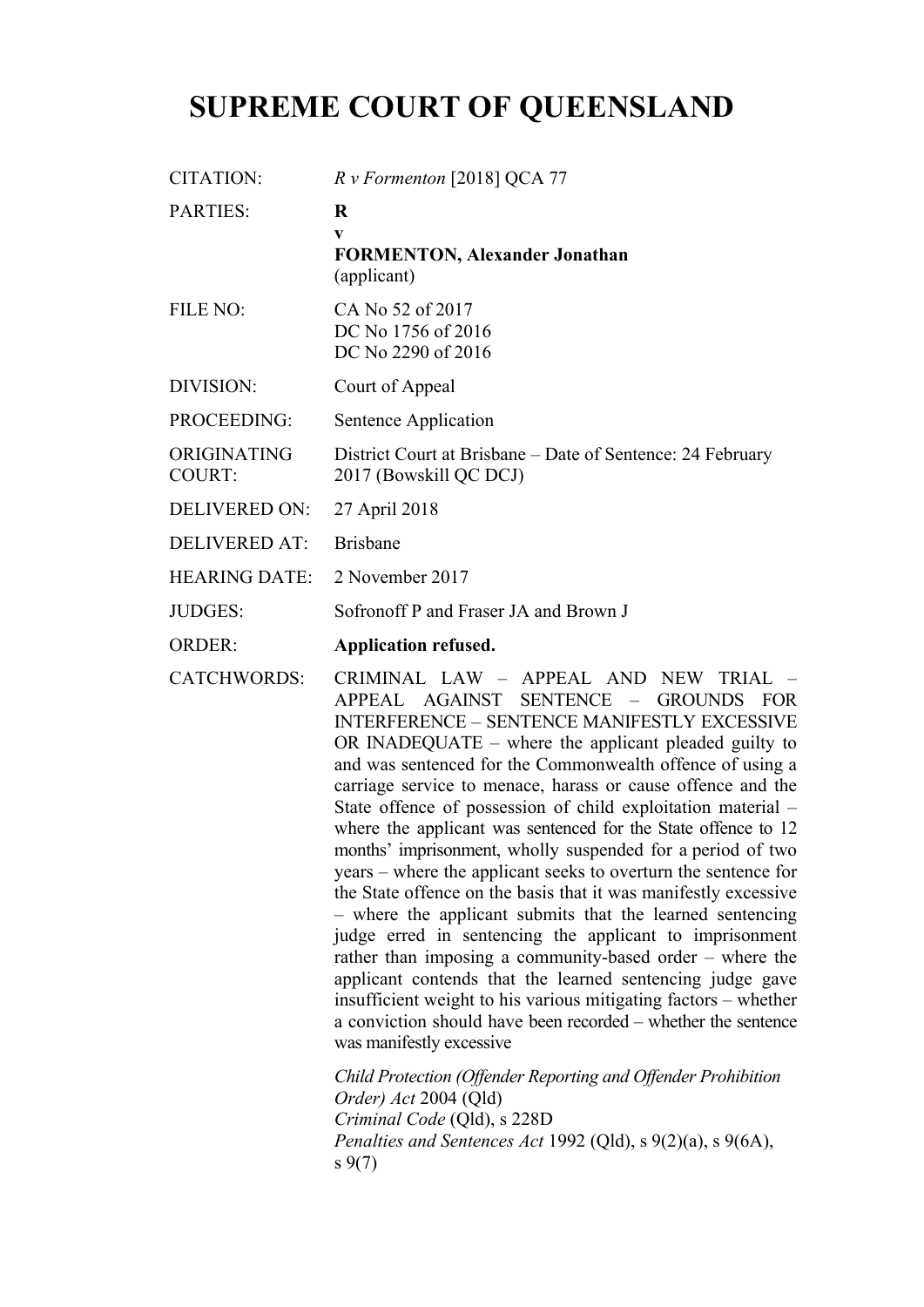# **SUPREME COURT OF QUEENSLAND**

|                              | $R \nu$ Formenton [2018] QCA 77                                                                                                                                                                                                                                                                                                                                                                                                                                                                                                                                                                                                                                                                                                                                                                                                                                                                                     |
|------------------------------|---------------------------------------------------------------------------------------------------------------------------------------------------------------------------------------------------------------------------------------------------------------------------------------------------------------------------------------------------------------------------------------------------------------------------------------------------------------------------------------------------------------------------------------------------------------------------------------------------------------------------------------------------------------------------------------------------------------------------------------------------------------------------------------------------------------------------------------------------------------------------------------------------------------------|
| <b>PARTIES:</b>              | $\bf{R}$<br>V<br><b>FORMENTON, Alexander Jonathan</b><br>(applicant)                                                                                                                                                                                                                                                                                                                                                                                                                                                                                                                                                                                                                                                                                                                                                                                                                                                |
| FILE NO:                     | CA No 52 of 2017<br>DC No 1756 of 2016<br>DC No 2290 of 2016                                                                                                                                                                                                                                                                                                                                                                                                                                                                                                                                                                                                                                                                                                                                                                                                                                                        |
| DIVISION:                    | Court of Appeal                                                                                                                                                                                                                                                                                                                                                                                                                                                                                                                                                                                                                                                                                                                                                                                                                                                                                                     |
| PROCEEDING:                  | Sentence Application                                                                                                                                                                                                                                                                                                                                                                                                                                                                                                                                                                                                                                                                                                                                                                                                                                                                                                |
| ORIGINATING<br><b>COURT:</b> | District Court at Brisbane - Date of Sentence: 24 February<br>2017 (Bowskill QC DCJ)                                                                                                                                                                                                                                                                                                                                                                                                                                                                                                                                                                                                                                                                                                                                                                                                                                |
| <b>DELIVERED ON:</b>         | 27 April 2018                                                                                                                                                                                                                                                                                                                                                                                                                                                                                                                                                                                                                                                                                                                                                                                                                                                                                                       |
| <b>DELIVERED AT:</b>         | <b>Brisbane</b>                                                                                                                                                                                                                                                                                                                                                                                                                                                                                                                                                                                                                                                                                                                                                                                                                                                                                                     |
| <b>HEARING DATE:</b>         | 2 November 2017                                                                                                                                                                                                                                                                                                                                                                                                                                                                                                                                                                                                                                                                                                                                                                                                                                                                                                     |
| <b>JUDGES:</b>               | Sofronoff P and Fraser JA and Brown J                                                                                                                                                                                                                                                                                                                                                                                                                                                                                                                                                                                                                                                                                                                                                                                                                                                                               |
| <b>ORDER:</b>                | <b>Application refused.</b>                                                                                                                                                                                                                                                                                                                                                                                                                                                                                                                                                                                                                                                                                                                                                                                                                                                                                         |
| <b>CATCHWORDS:</b>           | CRIMINAL LAW - APPEAL AND NEW TRIAL -<br>APPEAL AGAINST SENTENCE - GROUNDS FOR<br><b>INTERFERENCE - SENTENCE MANIFESTLY EXCESSIVE</b><br>OR INADEQUATE $-$ where the applicant pleaded guilty to<br>and was sentenced for the Commonwealth offence of using a<br>carriage service to menace, harass or cause offence and the<br>State offence of possession of child exploitation material -<br>where the applicant was sentenced for the State offence to 12<br>months' imprisonment, wholly suspended for a period of two<br>years – where the applicant seeks to overturn the sentence for<br>the State offence on the basis that it was manifestly excessive<br>- where the applicant submits that the learned sentencing<br>judge erred in sentencing the applicant to imprisonment<br>rather than imposing a community-based order $-$ where the<br>applicant contends that the learned sentencing judge gave |
|                              | insufficient weight to his various mitigating factors – whether<br>a conviction should have been recorded – whether the sentence<br>was manifestly excessive<br>Child Protection (Offender Reporting and Offender Prohibition<br>Order) Act 2004 (Qld)<br>Criminal Code (Qld), s 228D<br>Penalties and Sentences Act 1992 (Qld), $s$ 9(2)(a), $s$ 9(6A),                                                                                                                                                                                                                                                                                                                                                                                                                                                                                                                                                            |
|                              |                                                                                                                                                                                                                                                                                                                                                                                                                                                                                                                                                                                                                                                                                                                                                                                                                                                                                                                     |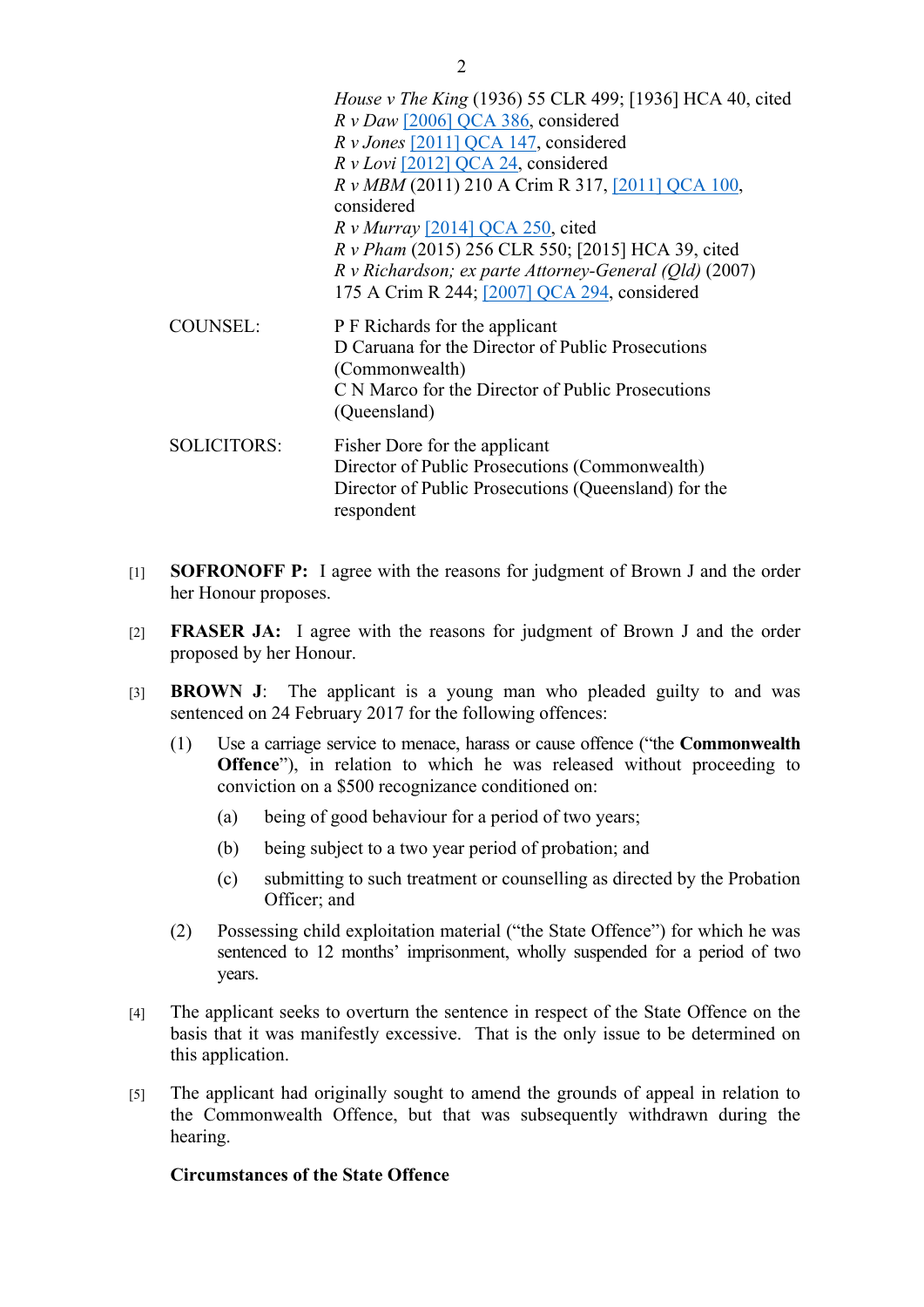- *House v The King* (1936) 55 CLR 499; [1936] HCA 40, cited *R v Daw* [2006] QCA 386, considered *R v Jones* [2011] QCA 147, considered *R v Lovi* [2012] QCA 24, considered *R v MBM* (2011) 210 A Crim R 317, [2011] QCA 100, considered *R v Murray* [2014] QCA 250, cited *R v Pham* (2015) 256 CLR 550; [2015] HCA 39, cited *R v Richardson; ex parte Attorney-General (Qld)* (2007) 175 A Crim R 244; [2007] QCA 294, considered COUNSEL: P F Richards for the applicant D Caruana for the Director of Public Prosecutions (Commonwealth) C N Marco for the Director of Public Prosecutions (Queensland) SOLICITORS: Fisher Dore for the applicant Director of Public Prosecutions (Commonwealth) Director of Public Prosecutions (Queensland) for the respondent
- [1] **SOFRONOFF P:** I agree with the reasons for judgment of Brown J and the order her Honour proposes.
- [2] **FRASER JA:** I agree with the reasons for judgment of Brown J and the order proposed by her Honour.
- [3] **BROWN J**: The applicant is a young man who pleaded guilty to and was sentenced on 24 February 2017 for the following offences:
	- (1) Use a carriage service to menace, harass or cause offence ("the **Commonwealth Offence**"), in relation to which he was released without proceeding to conviction on a \$500 recognizance conditioned on:
		- (a) being of good behaviour for a period of two years;
		- (b) being subject to a two year period of probation; and
		- (c) submitting to such treatment or counselling as directed by the Probation Officer; and
	- (2) Possessing child exploitation material ("the State Offence") for which he was sentenced to 12 months' imprisonment, wholly suspended for a period of two years.
- [4] The applicant seeks to overturn the sentence in respect of the State Offence on the basis that it was manifestly excessive. That is the only issue to be determined on this application.
- [5] The applicant had originally sought to amend the grounds of appeal in relation to the Commonwealth Offence, but that was subsequently withdrawn during the hearing.

#### **Circumstances of the State Offence**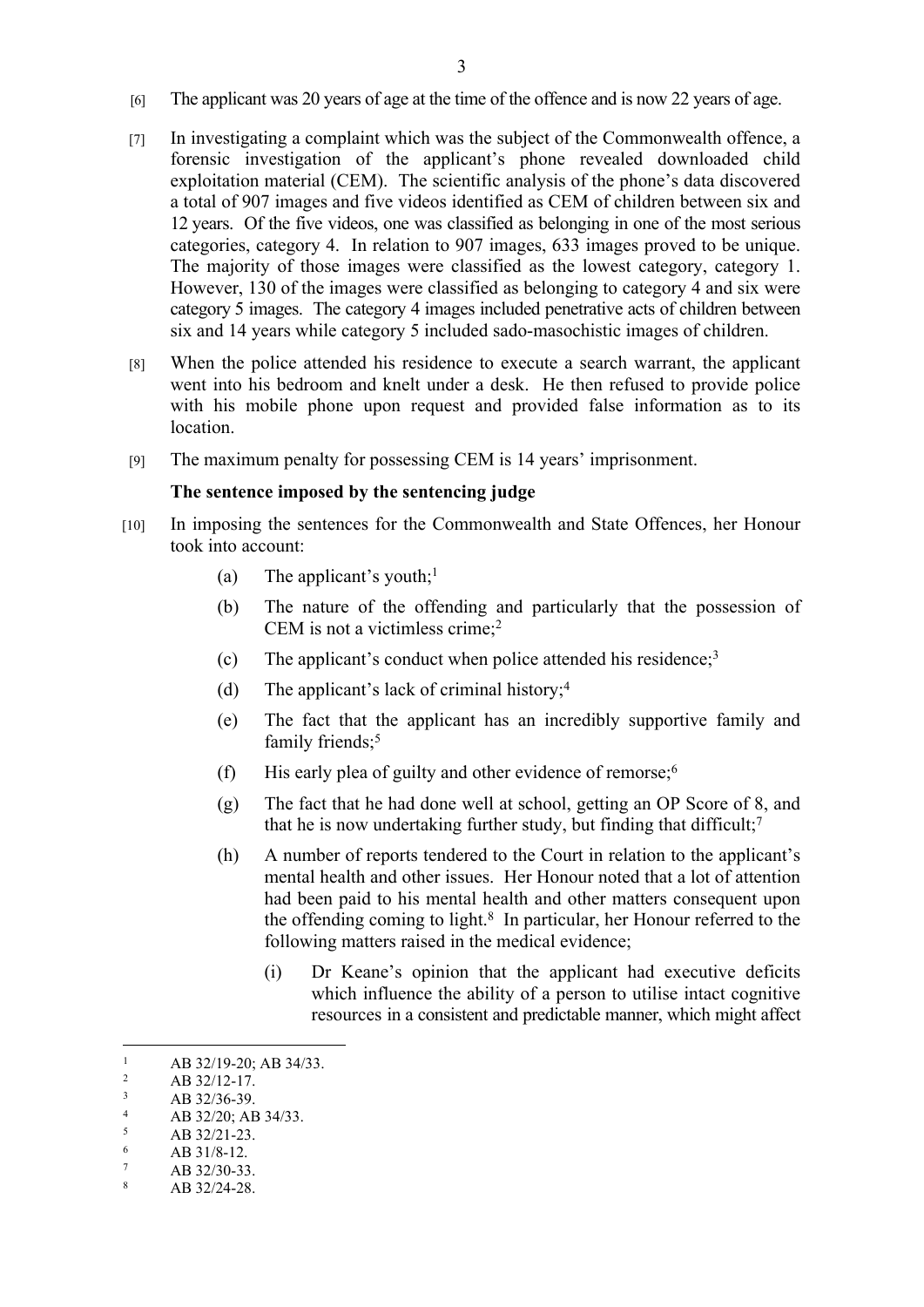- [6] The applicant was 20 years of age at the time of the offence and is now 22 years of age.
- [7] In investigating a complaint which was the subject of the Commonwealth offence, a forensic investigation of the applicant's phone revealed downloaded child exploitation material (CEM). The scientific analysis of the phone's data discovered a total of 907 images and five videos identified as CEM of children between six and 12 years. Of the five videos, one was classified as belonging in one of the most serious categories, category 4. In relation to 907 images, 633 images proved to be unique. The majority of those images were classified as the lowest category, category 1. However, 130 of the images were classified as belonging to category 4 and six were category 5 images. The category 4 images included penetrative acts of children between six and 14 years while category 5 included sado-masochistic images of children.
- [8] When the police attended his residence to execute a search warrant, the applicant went into his bedroom and knelt under a desk. He then refused to provide police with his mobile phone upon request and provided false information as to its **location**
- [9] The maximum penalty for possessing CEM is 14 years' imprisonment.

#### **The sentence imposed by the sentencing judge**

- [10] In imposing the sentences for the Commonwealth and State Offences, her Honour took into account:
	- (a) The applicant's youth:<sup>1</sup>
	- (b) The nature of the offending and particularly that the possession of CEM is not a victimless crime;<sup>2</sup>
	- (c) The applicant's conduct when police attended his residence;<sup>3</sup>
	- (d) The applicant's lack of criminal history;<sup>4</sup>
	- (e) The fact that the applicant has an incredibly supportive family and family friends;<sup>5</sup>
	- (f) His early plea of guilty and other evidence of remorse; $<sup>6</sup>$ </sup>
	- (g) The fact that he had done well at school, getting an OP Score of 8, and that he is now undertaking further study, but finding that difficult;<sup>7</sup>
	- (h) A number of reports tendered to the Court in relation to the applicant's mental health and other issues. Her Honour noted that a lot of attention had been paid to his mental health and other matters consequent upon the offending coming to light.<sup>8</sup> In particular, her Honour referred to the following matters raised in the medical evidence;
		- (i) Dr Keane's opinion that the applicant had executive deficits which influence the ability of a person to utilise intact cognitive resources in a consistent and predictable manner, which might affect

<sup>1</sup> AB 32/19-20; AB 34/33.

 $\overline{2}$ AB 32/12-17.

<sup>3</sup> AB 32/36-39.

<sup>4</sup> AB 32/20; AB 34/33.

<sup>5</sup> AB 32/21-23.

<sup>6</sup> AB 31/8-12.

<sup>7</sup> AB 32/30-33.

<sup>8</sup> AB 32/24-28.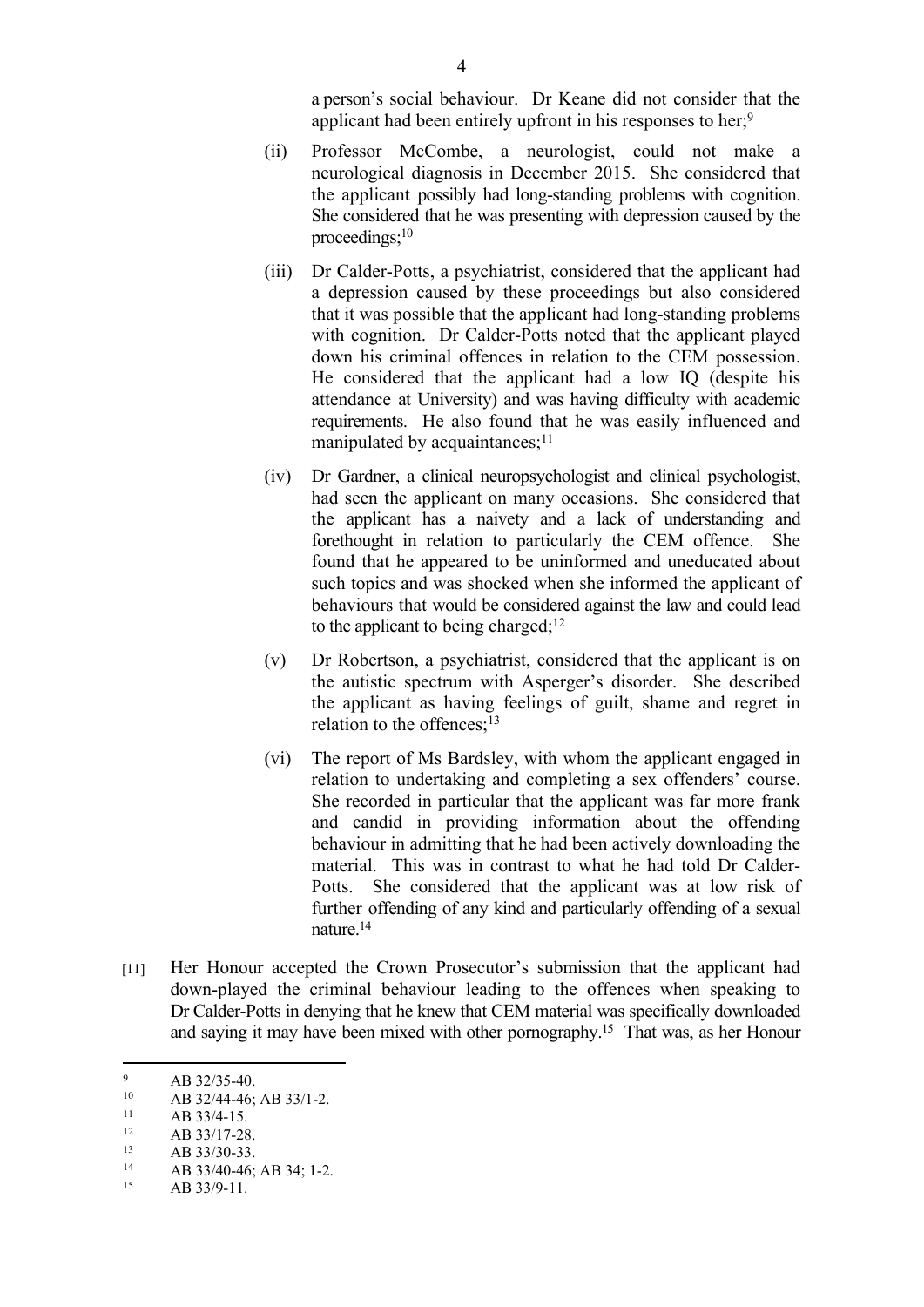a person's social behaviour. Dr Keane did not consider that the applicant had been entirely upfront in his responses to her;<sup>9</sup>

- (ii) Professor McCombe, a neurologist, could not make a neurological diagnosis in December 2015. She considered that the applicant possibly had long-standing problems with cognition. She considered that he was presenting with depression caused by the proceedings;<sup>10</sup>
- (iii) Dr Calder-Potts, a psychiatrist, considered that the applicant had a depression caused by these proceedings but also considered that it was possible that the applicant had long-standing problems with cognition. Dr Calder-Potts noted that the applicant played down his criminal offences in relation to the CEM possession. He considered that the applicant had a low IQ (despite his attendance at University) and was having difficulty with academic requirements. He also found that he was easily influenced and manipulated by acquaintances;<sup>11</sup>
- (iv) Dr Gardner, a clinical neuropsychologist and clinical psychologist, had seen the applicant on many occasions. She considered that the applicant has a naivety and a lack of understanding and forethought in relation to particularly the CEM offence. She found that he appeared to be uninformed and uneducated about such topics and was shocked when she informed the applicant of behaviours that would be considered against the law and could lead to the applicant to being charged; $12$
- (v) Dr Robertson, a psychiatrist, considered that the applicant is on the autistic spectrum with Asperger's disorder. She described the applicant as having feelings of guilt, shame and regret in relation to the offences;<sup>13</sup>
- (vi) The report of Ms Bardsley, with whom the applicant engaged in relation to undertaking and completing a sex offenders' course. She recorded in particular that the applicant was far more frank and candid in providing information about the offending behaviour in admitting that he had been actively downloading the material. This was in contrast to what he had told Dr Calder-Potts. She considered that the applicant was at low risk of further offending of any kind and particularly offending of a sexual nature.<sup>14</sup>
- [11] Her Honour accepted the Crown Prosecutor's submission that the applicant had down-played the criminal behaviour leading to the offences when speaking to Dr Calder-Potts in denying that he knew that CEM material was specifically downloaded and saying it may have been mixed with other pornography.<sup>15</sup> That was, as her Honour

 $AB$  33/30-33.<br>14 AB 33/40.46:

<sup>9</sup>  $^{9}$  AB 32/35-40.<br>  $^{10}$  AB 32/44-46:

<sup>10</sup> AB 32/44-46; AB 33/1-2.<br>11 AB 33/4-15

 $\frac{11}{12}$  AB 33/4-15.

 $\frac{12}{13}$  AB 33/17-28.

AB 33/40-46; AB 34; 1-2.

<sup>15</sup> AB 33/9-11.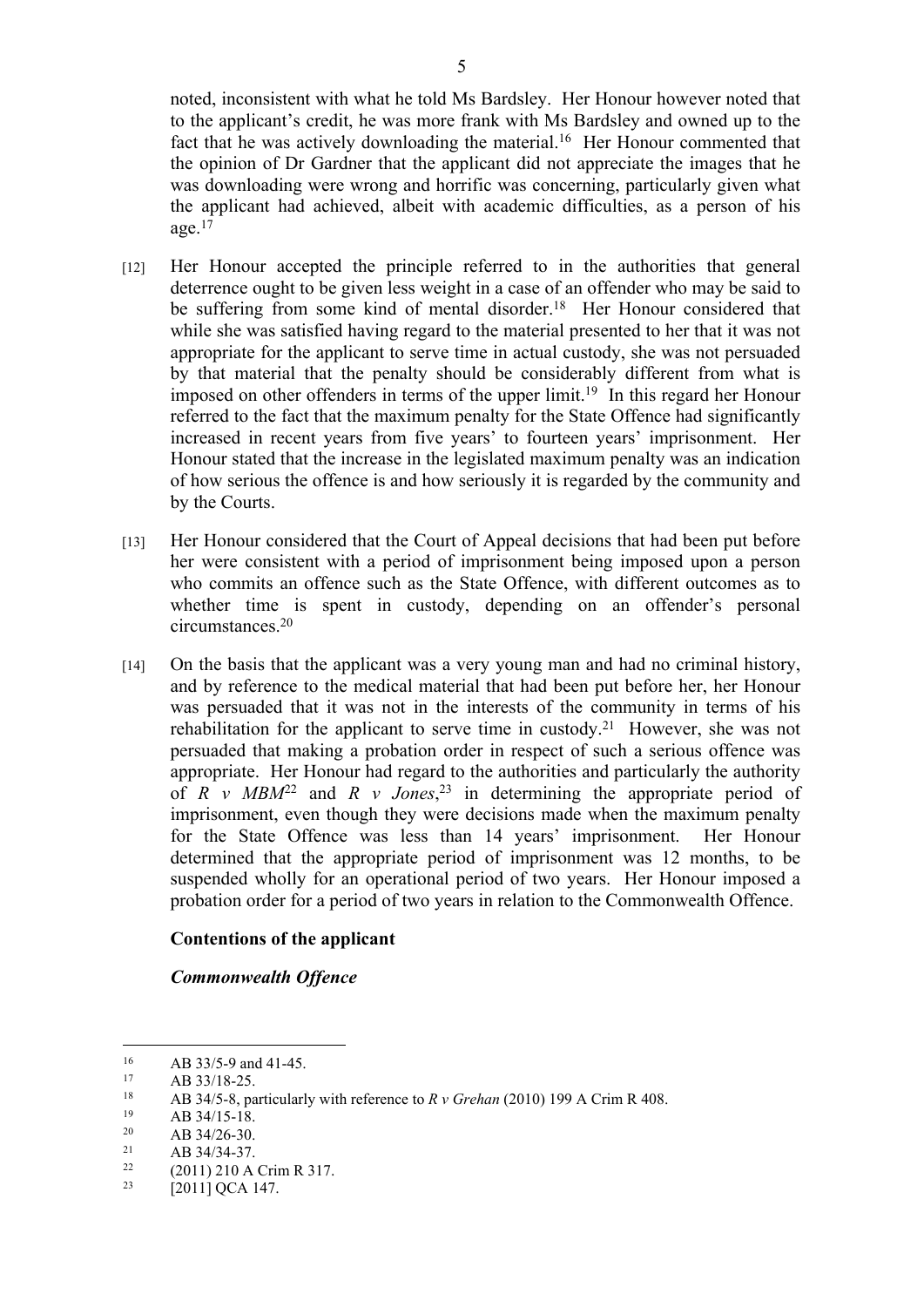noted, inconsistent with what he told Ms Bardsley. Her Honour however noted that to the applicant's credit, he was more frank with Ms Bardsley and owned up to the fact that he was actively downloading the material.<sup>16</sup> Her Honour commented that the opinion of Dr Gardner that the applicant did not appreciate the images that he was downloading were wrong and horrific was concerning, particularly given what the applicant had achieved, albeit with academic difficulties, as a person of his age. $17$ 

- [12] Her Honour accepted the principle referred to in the authorities that general deterrence ought to be given less weight in a case of an offender who may be said to be suffering from some kind of mental disorder.<sup>18</sup> Her Honour considered that while she was satisfied having regard to the material presented to her that it was not appropriate for the applicant to serve time in actual custody, she was not persuaded by that material that the penalty should be considerably different from what is imposed on other offenders in terms of the upper limit.<sup>19</sup> In this regard her Honour referred to the fact that the maximum penalty for the State Offence had significantly increased in recent years from five years' to fourteen years' imprisonment. Her Honour stated that the increase in the legislated maximum penalty was an indication of how serious the offence is and how seriously it is regarded by the community and by the Courts.
- [13] Her Honour considered that the Court of Appeal decisions that had been put before her were consistent with a period of imprisonment being imposed upon a person who commits an offence such as the State Offence, with different outcomes as to whether time is spent in custody, depending on an offender's personal circumstances.<sup>20</sup>
- [14] On the basis that the applicant was a very young man and had no criminal history, and by reference to the medical material that had been put before her, her Honour was persuaded that it was not in the interests of the community in terms of his rehabilitation for the applicant to serve time in custody.<sup>21</sup> However, she was not persuaded that making a probation order in respect of such a serious offence was appropriate. Her Honour had regard to the authorities and particularly the authority of  $R$  v  $MBM<sup>22</sup>$  and  $R$  v Jones,<sup>23</sup> in determining the appropriate period of imprisonment, even though they were decisions made when the maximum penalty for the State Offence was less than 14 years' imprisonment. Her Honour determined that the appropriate period of imprisonment was 12 months, to be suspended wholly for an operational period of two years. Her Honour imposed a probation order for a period of two years in relation to the Commonwealth Offence.

### **Contentions of the applicant**

#### *Commonwealth Offence*

- $19$  AB 34/15-18.<br>  $20$  AB 34/26-30
- <sup>20</sup> AB 34/26-30.<br><sup>21</sup> AB 34/34.37
- <sup>21</sup> AB 34/34-37.

<sup>16</sup> AB 33/5-9 and 41-45.

 $17$  AB 33/18-25.<br>  $18$  AB 34/5-8 pa

<sup>18</sup> AB 34/5-8, particularly with reference to  $R v$  Grehan (2010) 199 A Crim R 408.

<sup>22</sup> (2011) 210 A Crim R 317.

<sup>&</sup>lt;sup>23</sup> [2011] QCA 147.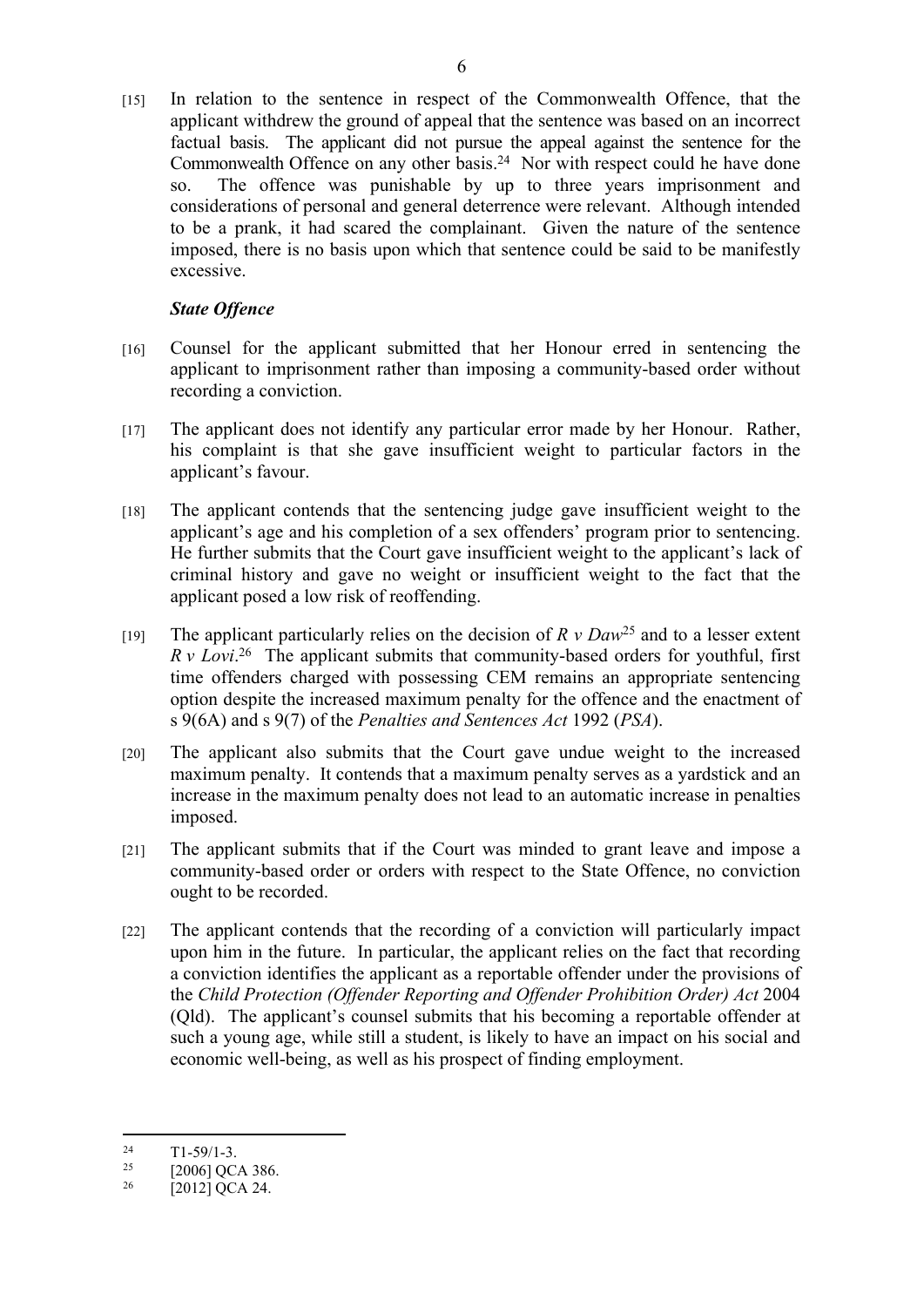[15] In relation to the sentence in respect of the Commonwealth Offence, that the applicant withdrew the ground of appeal that the sentence was based on an incorrect factual basis. The applicant did not pursue the appeal against the sentence for the Commonwealth Offence on any other basis.<sup>24</sup> Nor with respect could he have done so. The offence was punishable by up to three years imprisonment and considerations of personal and general deterrence were relevant. Although intended to be a prank, it had scared the complainant. Given the nature of the sentence imposed, there is no basis upon which that sentence could be said to be manifestly excessive.

# *State Offence*

- [16] Counsel for the applicant submitted that her Honour erred in sentencing the applicant to imprisonment rather than imposing a community-based order without recording a conviction.
- [17] The applicant does not identify any particular error made by her Honour. Rather, his complaint is that she gave insufficient weight to particular factors in the applicant's favour.
- [18] The applicant contends that the sentencing judge gave insufficient weight to the applicant's age and his completion of a sex offenders' program prior to sentencing. He further submits that the Court gave insufficient weight to the applicant's lack of criminal history and gave no weight or insufficient weight to the fact that the applicant posed a low risk of reoffending.
- [19] The applicant particularly relies on the decision of *R v Daw*<sup>25</sup> and to a lesser extent *R v Lovi*. <sup>26</sup> The applicant submits that community-based orders for youthful, first time offenders charged with possessing CEM remains an appropriate sentencing option despite the increased maximum penalty for the offence and the enactment of s 9(6A) and s 9(7) of the *Penalties and Sentences Act* 1992 (*PSA*).
- [20] The applicant also submits that the Court gave undue weight to the increased maximum penalty. It contends that a maximum penalty serves as a yardstick and an increase in the maximum penalty does not lead to an automatic increase in penalties imposed.
- [21] The applicant submits that if the Court was minded to grant leave and impose a community-based order or orders with respect to the State Offence, no conviction ought to be recorded.
- [22] The applicant contends that the recording of a conviction will particularly impact upon him in the future. In particular, the applicant relies on the fact that recording a conviction identifies the applicant as a reportable offender under the provisions of the *Child Protection (Offender Reporting and Offender Prohibition Order) Act* 2004 (Qld). The applicant's counsel submits that his becoming a reportable offender at such a young age, while still a student, is likely to have an impact on his social and economic well-being, as well as his prospect of finding employment.

 $^{24}$  T1-59/1-3.<br>  $^{25}$  T20061 OC

<sup>[2006]</sup> OCA 386.

 $^{26}$  [2012] QCA 24.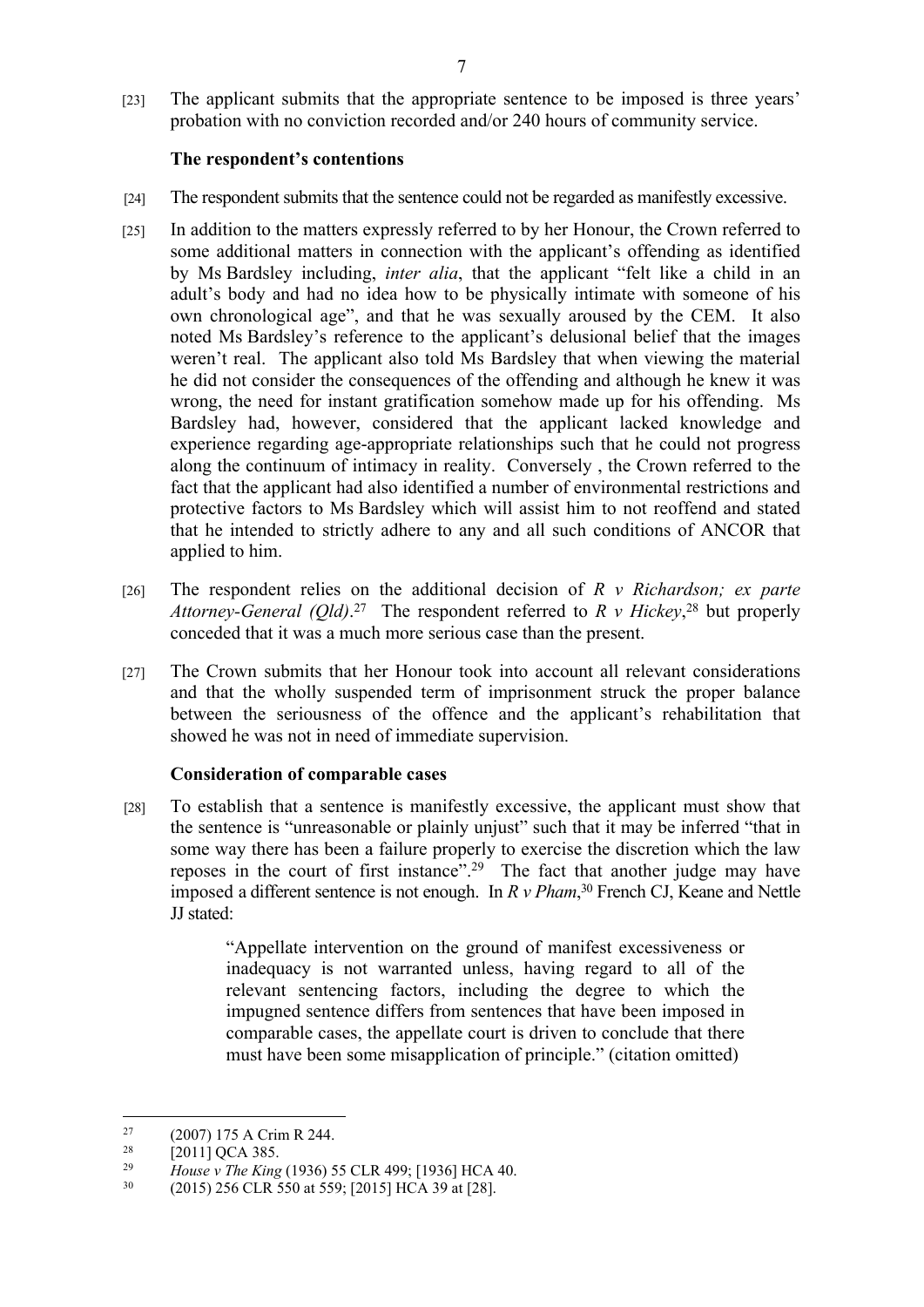[23] The applicant submits that the appropriate sentence to be imposed is three years' probation with no conviction recorded and/or 240 hours of community service.

## **The respondent's contentions**

- [24] The respondent submits that the sentence could not be regarded as manifestly excessive.
- [25] In addition to the matters expressly referred to by her Honour, the Crown referred to some additional matters in connection with the applicant's offending as identified by Ms Bardsley including, *inter alia*, that the applicant "felt like a child in an adult's body and had no idea how to be physically intimate with someone of his own chronological age", and that he was sexually aroused by the CEM. It also noted Ms Bardsley's reference to the applicant's delusional belief that the images weren't real. The applicant also told Ms Bardsley that when viewing the material he did not consider the consequences of the offending and although he knew it was wrong, the need for instant gratification somehow made up for his offending. Ms Bardsley had, however, considered that the applicant lacked knowledge and experience regarding age-appropriate relationships such that he could not progress along the continuum of intimacy in reality. Conversely , the Crown referred to the fact that the applicant had also identified a number of environmental restrictions and protective factors to Ms Bardsley which will assist him to not reoffend and stated that he intended to strictly adhere to any and all such conditions of ANCOR that applied to him.
- [26] The respondent relies on the additional decision of *R v Richardson; ex parte Attorney-General (Qld)*. <sup>27</sup> The respondent referred to *R v Hickey*, <sup>28</sup> but properly conceded that it was a much more serious case than the present.
- [27] The Crown submits that her Honour took into account all relevant considerations and that the wholly suspended term of imprisonment struck the proper balance between the seriousness of the offence and the applicant's rehabilitation that showed he was not in need of immediate supervision.

# **Consideration of comparable cases**

[28] To establish that a sentence is manifestly excessive, the applicant must show that the sentence is "unreasonable or plainly unjust" such that it may be inferred "that in some way there has been a failure properly to exercise the discretion which the law reposes in the court of first instance".<sup>29</sup> The fact that another judge may have imposed a different sentence is not enough. In *R v Pham*, <sup>30</sup> French CJ, Keane and Nettle JJ stated:

> "Appellate intervention on the ground of manifest excessiveness or inadequacy is not warranted unless, having regard to all of the relevant sentencing factors, including the degree to which the impugned sentence differs from sentences that have been imposed in comparable cases, the appellate court is driven to conclude that there must have been some misapplication of principle." (citation omitted)

<sup>&</sup>lt;sup>27</sup> (2007) 175 A Crim R 244.<br><sup>28</sup> [2011] OCA 385

<sup>&</sup>lt;sup>28</sup> [2011] QCA 385.<br><sup>29</sup> House y The King

<sup>29</sup> *House v The King* (1936) 55 CLR 499; [1936] HCA 40.

<sup>30</sup> (2015) 256 CLR 550 at 559; [2015] HCA 39 at [28].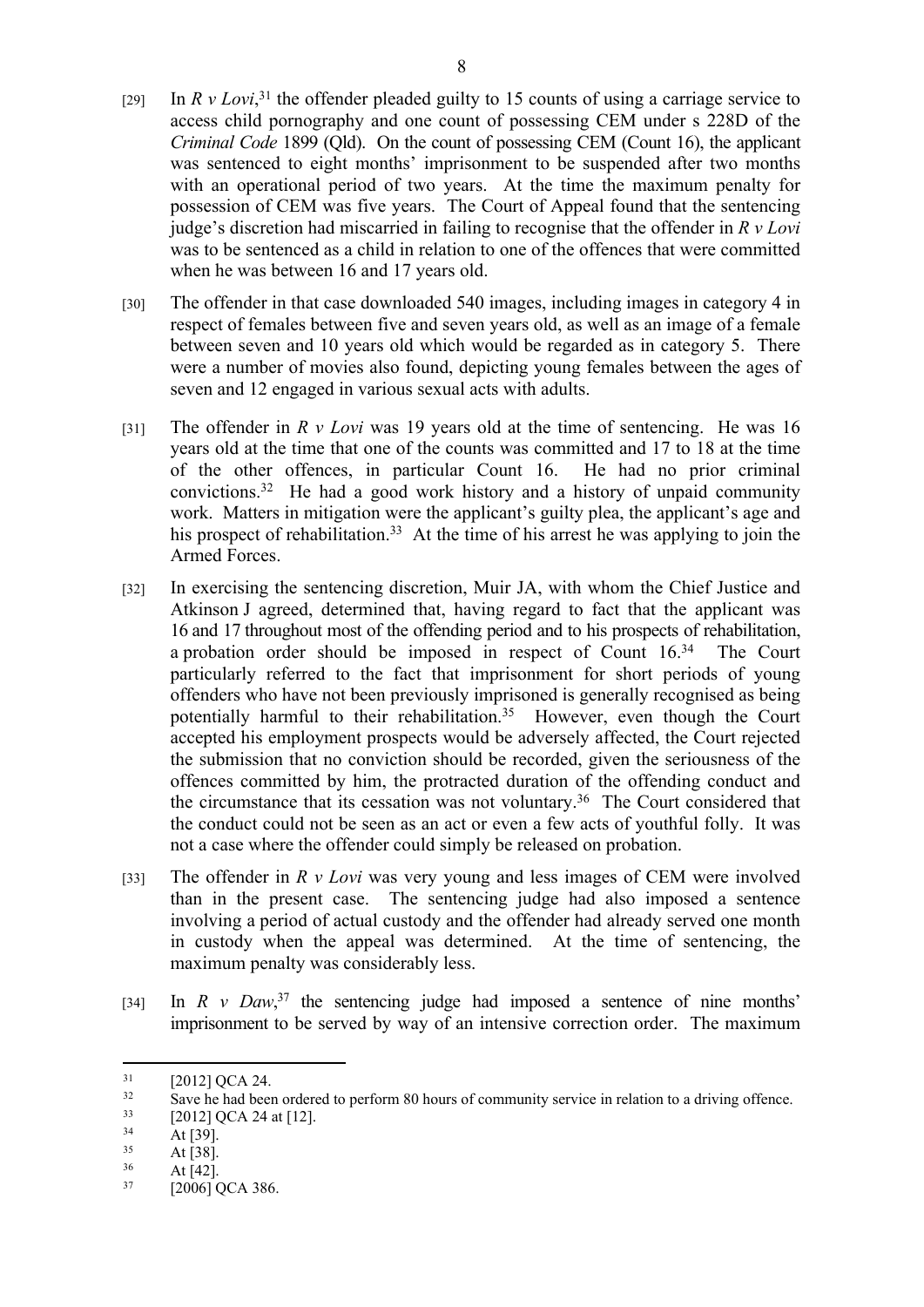- [29] In  $R \, v \, Lovi$ <sup>31</sup>, the offender pleaded guilty to 15 counts of using a carriage service to access child pornography and one count of possessing CEM under s 228D of the *Criminal Code* 1899 (Qld). On the count of possessing CEM (Count 16), the applicant was sentenced to eight months' imprisonment to be suspended after two months with an operational period of two years. At the time the maximum penalty for possession of CEM was five years. The Court of Appeal found that the sentencing judge's discretion had miscarried in failing to recognise that the offender in *R v Lovi* was to be sentenced as a child in relation to one of the offences that were committed when he was between 16 and 17 years old.
- [30] The offender in that case downloaded 540 images, including images in category 4 in respect of females between five and seven years old, as well as an image of a female between seven and 10 years old which would be regarded as in category 5. There were a number of movies also found, depicting young females between the ages of seven and 12 engaged in various sexual acts with adults.
- [31] The offender in *R v Lovi* was 19 years old at the time of sentencing. He was 16 years old at the time that one of the counts was committed and 17 to 18 at the time of the other offences, in particular Count 16. He had no prior criminal convictions.<sup>32</sup> He had a good work history and a history of unpaid community work. Matters in mitigation were the applicant's guilty plea, the applicant's age and his prospect of rehabilitation.<sup>33</sup> At the time of his arrest he was applying to join the Armed Forces.
- [32] In exercising the sentencing discretion, Muir JA, with whom the Chief Justice and Atkinson J agreed, determined that, having regard to fact that the applicant was 16 and 17 throughout most of the offending period and to his prospects of rehabilitation, a probation order should be imposed in respect of Count 16.<sup>34</sup> The Court particularly referred to the fact that imprisonment for short periods of young offenders who have not been previously imprisoned is generally recognised as being potentially harmful to their rehabilitation.<sup>35</sup> However, even though the Court accepted his employment prospects would be adversely affected, the Court rejected the submission that no conviction should be recorded, given the seriousness of the offences committed by him, the protracted duration of the offending conduct and the circumstance that its cessation was not voluntary.<sup>36</sup> The Court considered that the conduct could not be seen as an act or even a few acts of youthful folly. It was not a case where the offender could simply be released on probation.
- [33] The offender in *R v Lovi* was very young and less images of CEM were involved than in the present case. The sentencing judge had also imposed a sentence involving a period of actual custody and the offender had already served one month in custody when the appeal was determined. At the time of sentencing, the maximum penalty was considerably less.
- [34] In *R v Daw*,<sup>37</sup> the sentencing judge had imposed a sentence of nine months' imprisonment to be served by way of an intensive correction order. The maximum

 $^{31}$  [2012] QCA 24.<br> $^{32}$  Save be had been

<sup>32</sup> Save he had been ordered to perform 80 hours of community service in relation to a driving offence.<br> $\frac{33}{2}$  [2012] OCA 24 at [12]

 $\frac{33}{34}$  [2012] QCA 24 at [12].

 $34$  At [39].

 $35$  At [38].

At  $[42]$ .

<sup>37</sup> [2006] QCA 386.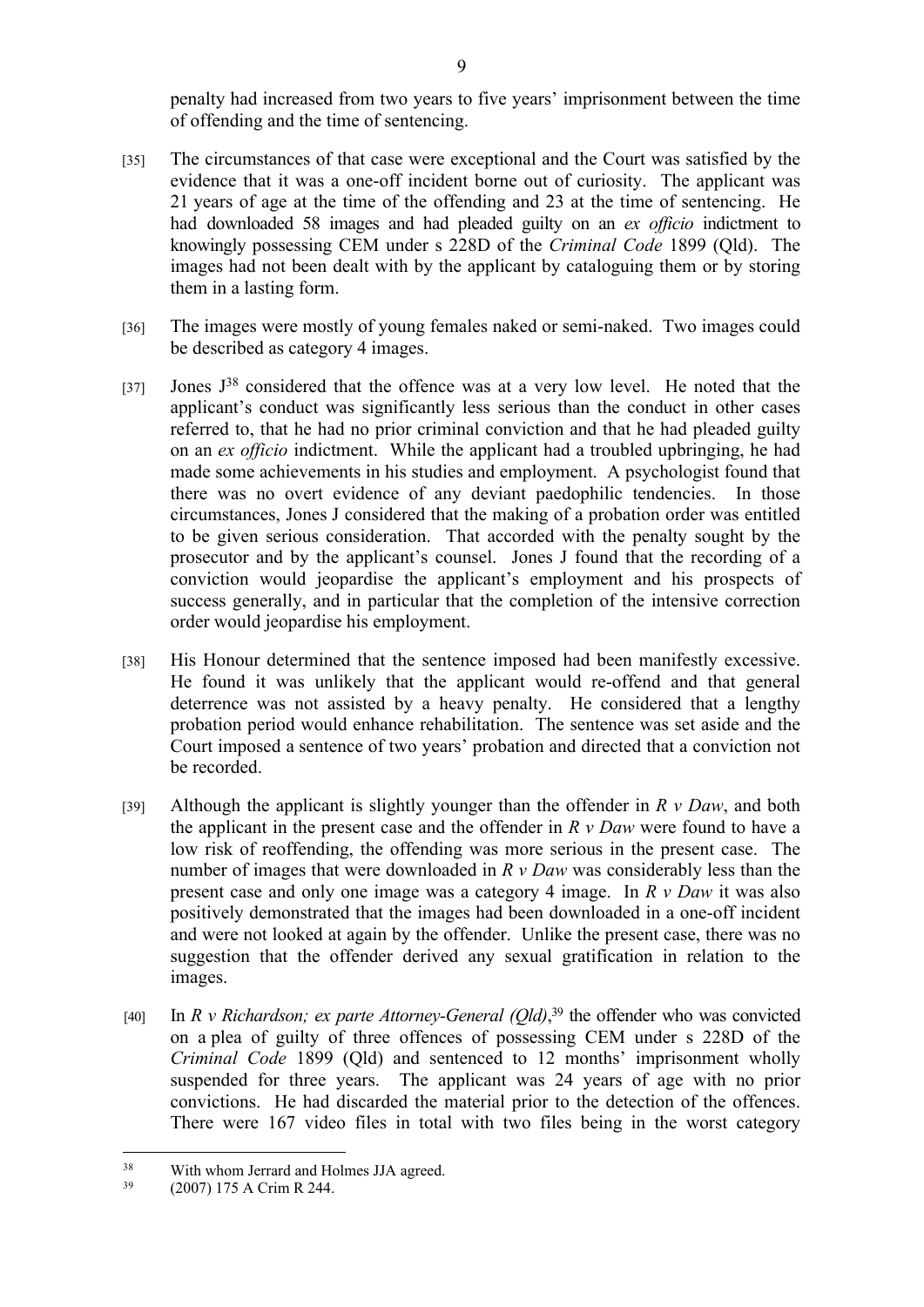penalty had increased from two years to five years' imprisonment between the time of offending and the time of sentencing.

- [35] The circumstances of that case were exceptional and the Court was satisfied by the evidence that it was a one-off incident borne out of curiosity. The applicant was 21 years of age at the time of the offending and 23 at the time of sentencing. He had downloaded 58 images and had pleaded guilty on an *ex officio* indictment to knowingly possessing CEM under s 228D of the *Criminal Code* 1899 (Qld). The images had not been dealt with by the applicant by cataloguing them or by storing them in a lasting form.
- [36] The images were mostly of young females naked or semi-naked. Two images could be described as category 4 images.
- [37] Jones  $J^{38}$  considered that the offence was at a very low level. He noted that the applicant's conduct was significantly less serious than the conduct in other cases referred to, that he had no prior criminal conviction and that he had pleaded guilty on an *ex officio* indictment. While the applicant had a troubled upbringing, he had made some achievements in his studies and employment. A psychologist found that there was no overt evidence of any deviant paedophilic tendencies. In those circumstances, Jones J considered that the making of a probation order was entitled to be given serious consideration. That accorded with the penalty sought by the prosecutor and by the applicant's counsel. Jones J found that the recording of a conviction would jeopardise the applicant's employment and his prospects of success generally, and in particular that the completion of the intensive correction order would jeopardise his employment.
- [38] His Honour determined that the sentence imposed had been manifestly excessive. He found it was unlikely that the applicant would re-offend and that general deterrence was not assisted by a heavy penalty. He considered that a lengthy probation period would enhance rehabilitation. The sentence was set aside and the Court imposed a sentence of two years' probation and directed that a conviction not be recorded.
- [39] Although the applicant is slightly younger than the offender in *R v Daw*, and both the applicant in the present case and the offender in *R v Daw* were found to have a low risk of reoffending, the offending was more serious in the present case. The number of images that were downloaded in *R v Daw* was considerably less than the present case and only one image was a category 4 image. In *R v Daw* it was also positively demonstrated that the images had been downloaded in a one-off incident and were not looked at again by the offender. Unlike the present case, there was no suggestion that the offender derived any sexual gratification in relation to the images.
- [40] In *R v Richardson; ex parte Attorney-General (Qld)*, <sup>39</sup> the offender who was convicted on a plea of guilty of three offences of possessing CEM under s 228D of the *Criminal Code* 1899 (Qld) and sentenced to 12 months' imprisonment wholly suspended for three years. The applicant was 24 years of age with no prior convictions. He had discarded the material prior to the detection of the offences. There were 167 video files in total with two files being in the worst category

<sup>38</sup> With whom Jerrard and Holmes JJA agreed.

<sup>39</sup> (2007) 175 A Crim R 244.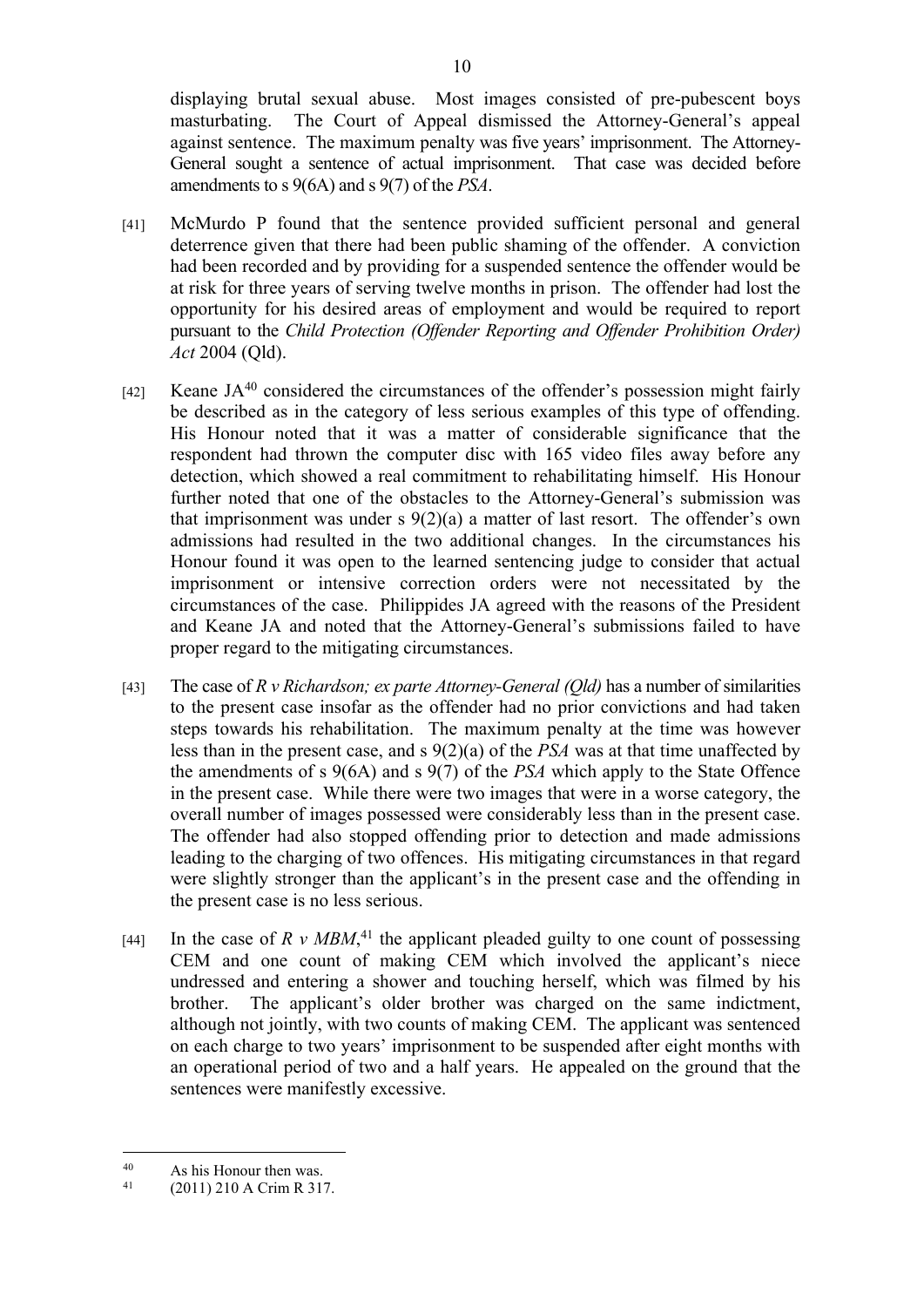displaying brutal sexual abuse. Most images consisted of pre-pubescent boys masturbating. The Court of Appeal dismissed the Attorney-General's appeal against sentence. The maximum penalty was five years' imprisonment. The Attorney-General sought a sentence of actual imprisonment. That case was decided before amendments to s 9(6A) and s 9(7) of the *PSA*.

- [41] McMurdo P found that the sentence provided sufficient personal and general deterrence given that there had been public shaming of the offender. A conviction had been recorded and by providing for a suspended sentence the offender would be at risk for three years of serving twelve months in prison. The offender had lost the opportunity for his desired areas of employment and would be required to report pursuant to the *Child Protection (Offender Reporting and Offender Prohibition Order) Act* 2004 (Qld).
- [42] Keane JA<sup>40</sup> considered the circumstances of the offender's possession might fairly be described as in the category of less serious examples of this type of offending. His Honour noted that it was a matter of considerable significance that the respondent had thrown the computer disc with 165 video files away before any detection, which showed a real commitment to rehabilitating himself. His Honour further noted that one of the obstacles to the Attorney-General's submission was that imprisonment was under s  $9(2)(a)$  a matter of last resort. The offender's own admissions had resulted in the two additional changes. In the circumstances his Honour found it was open to the learned sentencing judge to consider that actual imprisonment or intensive correction orders were not necessitated by the circumstances of the case. Philippides JA agreed with the reasons of the President and Keane JA and noted that the Attorney-General's submissions failed to have proper regard to the mitigating circumstances.
- [43] The case of *R v Richardson; ex parte Attorney-General (Qld)* has a number of similarities to the present case insofar as the offender had no prior convictions and had taken steps towards his rehabilitation. The maximum penalty at the time was however less than in the present case, and s 9(2)(a) of the *PSA* was at that time unaffected by the amendments of s 9(6A) and s 9(7) of the *PSA* which apply to the State Offence in the present case. While there were two images that were in a worse category, the overall number of images possessed were considerably less than in the present case. The offender had also stopped offending prior to detection and made admissions leading to the charging of two offences. His mitigating circumstances in that regard were slightly stronger than the applicant's in the present case and the offending in the present case is no less serious.
- [44] In the case of  $R \, v \, MBM$ ,<sup>41</sup>, the applicant pleaded guilty to one count of possessing CEM and one count of making CEM which involved the applicant's niece undressed and entering a shower and touching herself, which was filmed by his brother. The applicant's older brother was charged on the same indictment, although not jointly, with two counts of making CEM. The applicant was sentenced on each charge to two years' imprisonment to be suspended after eight months with an operational period of two and a half years. He appealed on the ground that the sentences were manifestly excessive.

<sup>40</sup> As his Honour then was.<br>41  $(2011)$  210 A Crim R 31

<sup>(2011) 210</sup> A Crim R 317.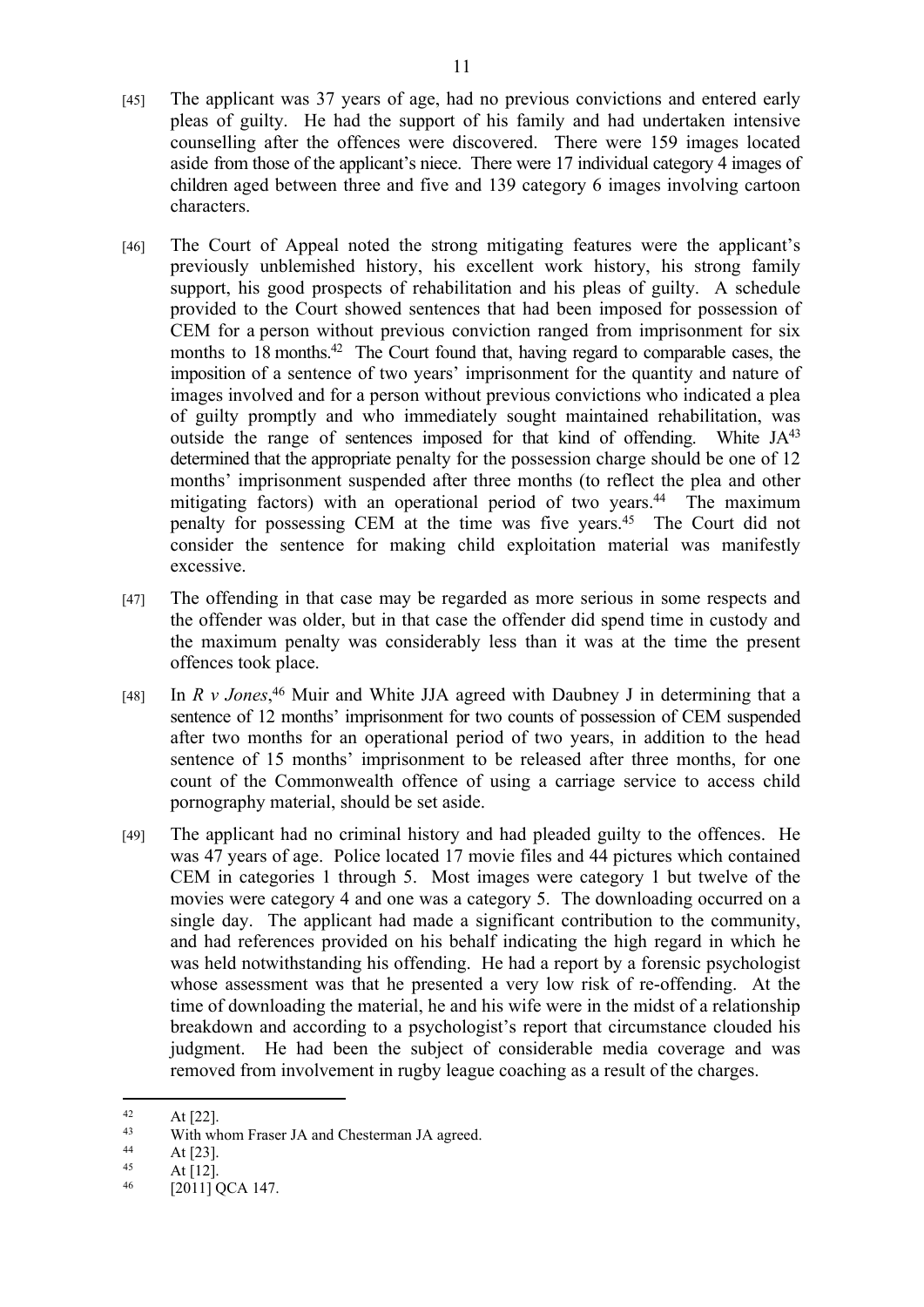- [45] The applicant was 37 years of age, had no previous convictions and entered early pleas of guilty. He had the support of his family and had undertaken intensive counselling after the offences were discovered. There were 159 images located aside from those of the applicant's niece. There were 17 individual category 4 images of children aged between three and five and 139 category 6 images involving cartoon characters.
- [46] The Court of Appeal noted the strong mitigating features were the applicant's previously unblemished history, his excellent work history, his strong family support, his good prospects of rehabilitation and his pleas of guilty. A schedule provided to the Court showed sentences that had been imposed for possession of CEM for a person without previous conviction ranged from imprisonment for six months to 18 months.<sup>42</sup> The Court found that, having regard to comparable cases, the imposition of a sentence of two years' imprisonment for the quantity and nature of images involved and for a person without previous convictions who indicated a plea of guilty promptly and who immediately sought maintained rehabilitation, was outside the range of sentences imposed for that kind of offending. White JA<sup>43</sup> determined that the appropriate penalty for the possession charge should be one of 12 months' imprisonment suspended after three months (to reflect the plea and other mitigating factors) with an operational period of two years.<sup>44</sup> The maximum penalty for possessing CEM at the time was five years.<sup>45</sup> The Court did not consider the sentence for making child exploitation material was manifestly excessive.
- [47] The offending in that case may be regarded as more serious in some respects and the offender was older, but in that case the offender did spend time in custody and the maximum penalty was considerably less than it was at the time the present offences took place.
- [48] In *R v Jones*, <sup>46</sup> Muir and White JJA agreed with Daubney J in determining that a sentence of 12 months' imprisonment for two counts of possession of CEM suspended after two months for an operational period of two years, in addition to the head sentence of 15 months' imprisonment to be released after three months, for one count of the Commonwealth offence of using a carriage service to access child pornography material, should be set aside.
- [49] The applicant had no criminal history and had pleaded guilty to the offences. He was 47 years of age. Police located 17 movie files and 44 pictures which contained CEM in categories 1 through 5. Most images were category 1 but twelve of the movies were category 4 and one was a category 5. The downloading occurred on a single day. The applicant had made a significant contribution to the community, and had references provided on his behalf indicating the high regard in which he was held notwithstanding his offending. He had a report by a forensic psychologist whose assessment was that he presented a very low risk of re-offending. At the time of downloading the material, he and his wife were in the midst of a relationship breakdown and according to a psychologist's report that circumstance clouded his judgment. He had been the subject of considerable media coverage and was removed from involvement in rugby league coaching as a result of the charges.

<sup>&</sup>lt;sup>42</sup> At [22].<br><sup>43</sup> With wh

<sup>&</sup>lt;sup>43</sup> With whom Fraser JA and Chesterman JA agreed.<br> $44 \qquad \qquad \text{At 1231}$ 

 $44$  At [23].

 $At [12]$ .

<sup>46</sup> [2011] QCA 147.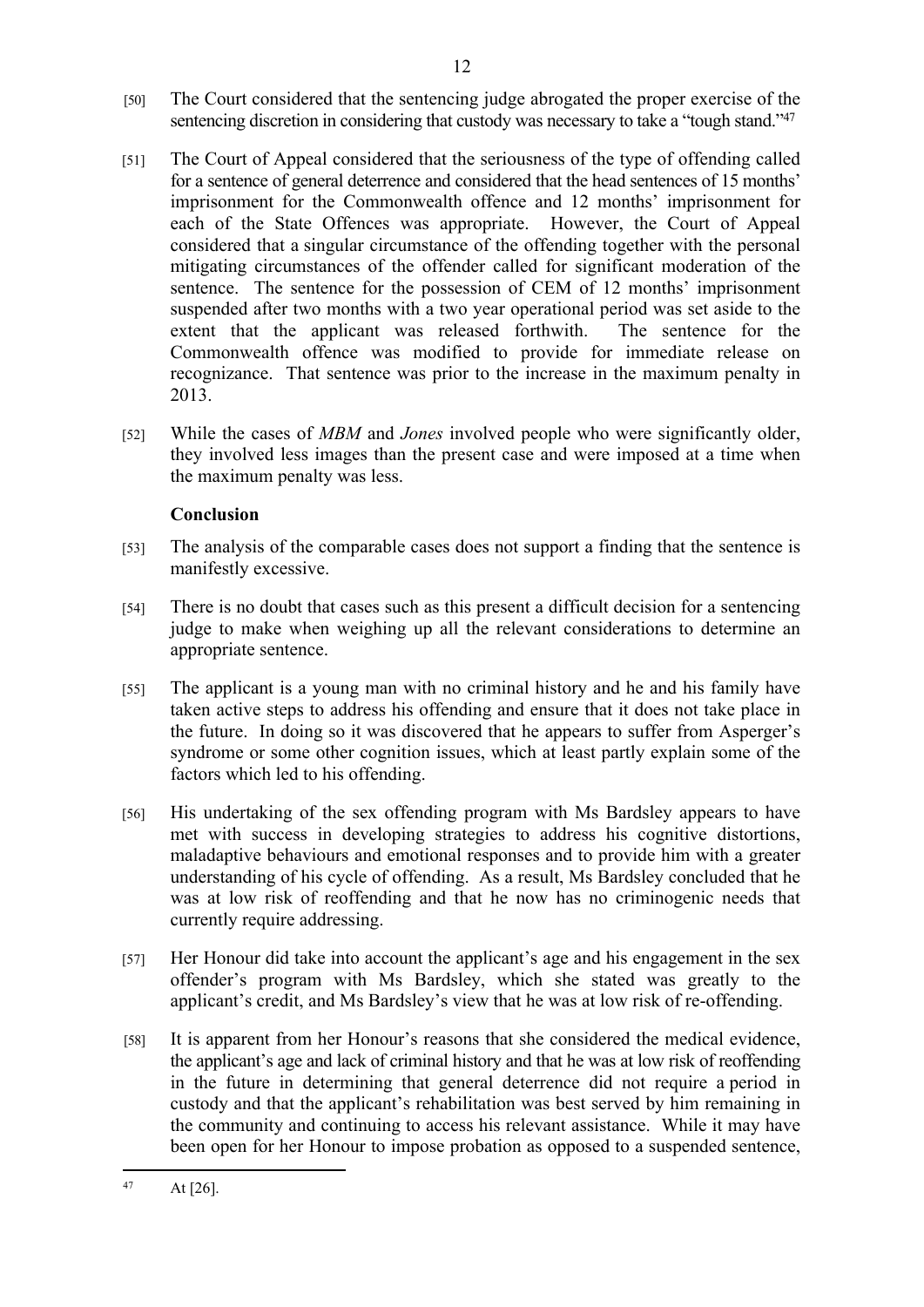- [50] The Court considered that the sentencing judge abrogated the proper exercise of the sentencing discretion in considering that custody was necessary to take a "tough stand."<sup>47</sup>
- [51] The Court of Appeal considered that the seriousness of the type of offending called for a sentence of general deterrence and considered that the head sentences of 15 months' imprisonment for the Commonwealth offence and 12 months' imprisonment for each of the State Offences was appropriate. However, the Court of Appeal considered that a singular circumstance of the offending together with the personal mitigating circumstances of the offender called for significant moderation of the sentence. The sentence for the possession of CEM of 12 months' imprisonment suspended after two months with a two year operational period was set aside to the extent that the applicant was released forthwith. The sentence for the Commonwealth offence was modified to provide for immediate release on recognizance. That sentence was prior to the increase in the maximum penalty in 2013.
- [52] While the cases of *MBM* and *Jones* involved people who were significantly older, they involved less images than the present case and were imposed at a time when the maximum penalty was less.

# **Conclusion**

- [53] The analysis of the comparable cases does not support a finding that the sentence is manifestly excessive.
- [54] There is no doubt that cases such as this present a difficult decision for a sentencing judge to make when weighing up all the relevant considerations to determine an appropriate sentence.
- [55] The applicant is a young man with no criminal history and he and his family have taken active steps to address his offending and ensure that it does not take place in the future. In doing so it was discovered that he appears to suffer from Asperger's syndrome or some other cognition issues, which at least partly explain some of the factors which led to his offending.
- [56] His undertaking of the sex offending program with Ms Bardsley appears to have met with success in developing strategies to address his cognitive distortions, maladaptive behaviours and emotional responses and to provide him with a greater understanding of his cycle of offending. As a result, Ms Bardsley concluded that he was at low risk of reoffending and that he now has no criminogenic needs that currently require addressing.
- [57] Her Honour did take into account the applicant's age and his engagement in the sex offender's program with Ms Bardsley, which she stated was greatly to the applicant's credit, and Ms Bardsley's view that he was at low risk of re-offending.
- [58] It is apparent from her Honour's reasons that she considered the medical evidence, the applicant's age and lack of criminal history and that he was at low risk of reoffending in the future in determining that general deterrence did not require a period in custody and that the applicant's rehabilitation was best served by him remaining in the community and continuing to access his relevant assistance. While it may have been open for her Honour to impose probation as opposed to a suspended sentence,

 $47$  At [26].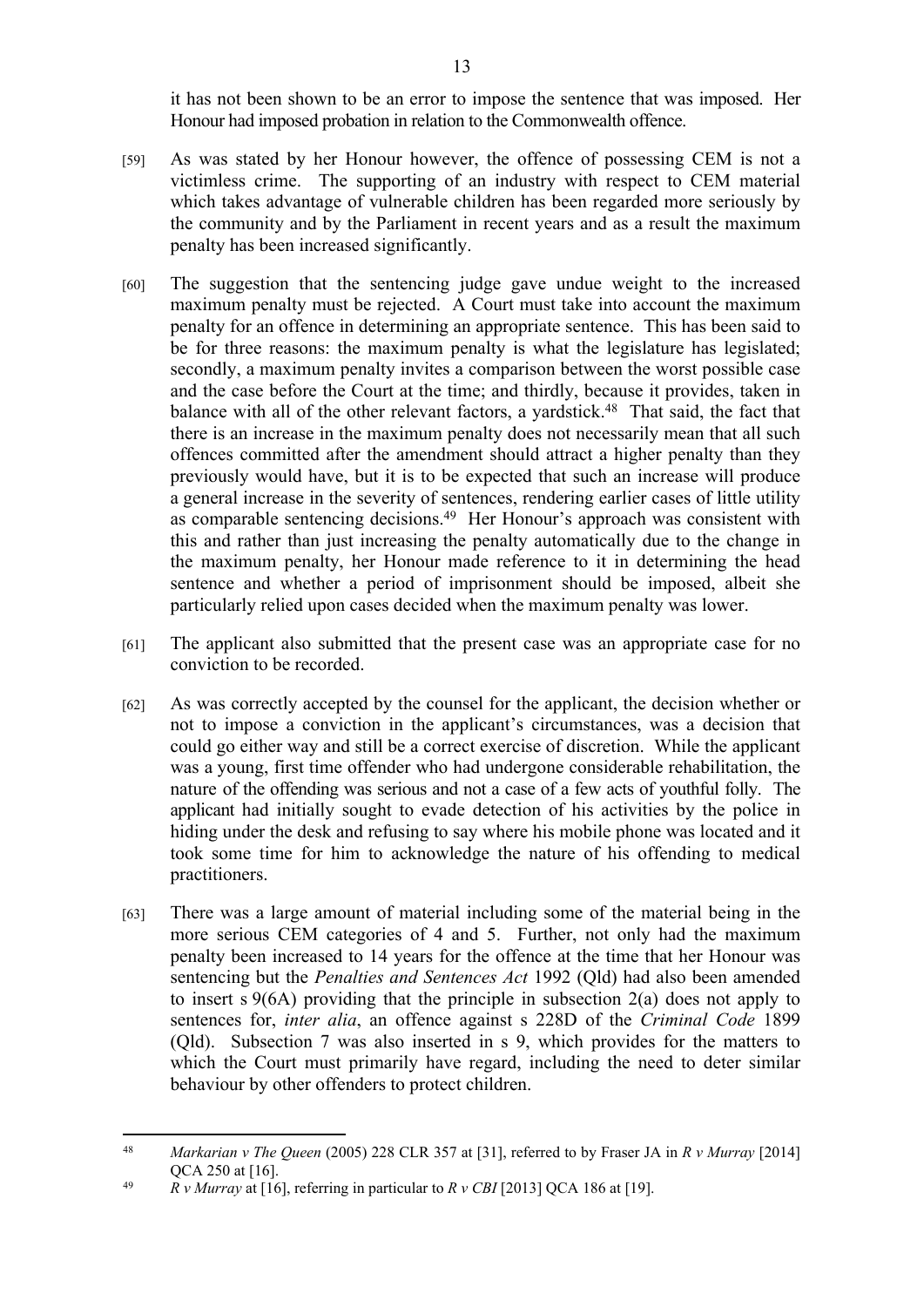it has not been shown to be an error to impose the sentence that was imposed. Her Honour had imposed probation in relation to the Commonwealth offence.

- [59] As was stated by her Honour however, the offence of possessing CEM is not a victimless crime. The supporting of an industry with respect to CEM material which takes advantage of vulnerable children has been regarded more seriously by the community and by the Parliament in recent years and as a result the maximum penalty has been increased significantly.
- [60] The suggestion that the sentencing judge gave undue weight to the increased maximum penalty must be rejected. A Court must take into account the maximum penalty for an offence in determining an appropriate sentence. This has been said to be for three reasons: the maximum penalty is what the legislature has legislated; secondly, a maximum penalty invites a comparison between the worst possible case and the case before the Court at the time; and thirdly, because it provides, taken in balance with all of the other relevant factors, a yardstick.<sup>48</sup> That said, the fact that there is an increase in the maximum penalty does not necessarily mean that all such offences committed after the amendment should attract a higher penalty than they previously would have, but it is to be expected that such an increase will produce a general increase in the severity of sentences, rendering earlier cases of little utility as comparable sentencing decisions.<sup>49</sup> Her Honour's approach was consistent with this and rather than just increasing the penalty automatically due to the change in the maximum penalty, her Honour made reference to it in determining the head sentence and whether a period of imprisonment should be imposed, albeit she particularly relied upon cases decided when the maximum penalty was lower.
- [61] The applicant also submitted that the present case was an appropriate case for no conviction to be recorded.
- [62] As was correctly accepted by the counsel for the applicant, the decision whether or not to impose a conviction in the applicant's circumstances, was a decision that could go either way and still be a correct exercise of discretion. While the applicant was a young, first time offender who had undergone considerable rehabilitation, the nature of the offending was serious and not a case of a few acts of youthful folly. The applicant had initially sought to evade detection of his activities by the police in hiding under the desk and refusing to say where his mobile phone was located and it took some time for him to acknowledge the nature of his offending to medical practitioners.
- [63] There was a large amount of material including some of the material being in the more serious CEM categories of 4 and 5. Further, not only had the maximum penalty been increased to 14 years for the offence at the time that her Honour was sentencing but the *Penalties and Sentences Act* 1992 (Qld) had also been amended to insert s 9(6A) providing that the principle in subsection 2(a) does not apply to sentences for, *inter alia*, an offence against s 228D of the *Criminal Code* 1899 (Qld). Subsection 7 was also inserted in s 9, which provides for the matters to which the Court must primarily have regard, including the need to deter similar behaviour by other offenders to protect children.

<sup>48</sup> *Markarian v The Queen* (2005) 228 CLR 357 at [31], referred to by Fraser JA in *R v Murray* [2014] QCA 250 at [16].

<sup>49</sup> *R v Murray* at [16], referring in particular to *R v CBI* [2013] QCA 186 at [19].